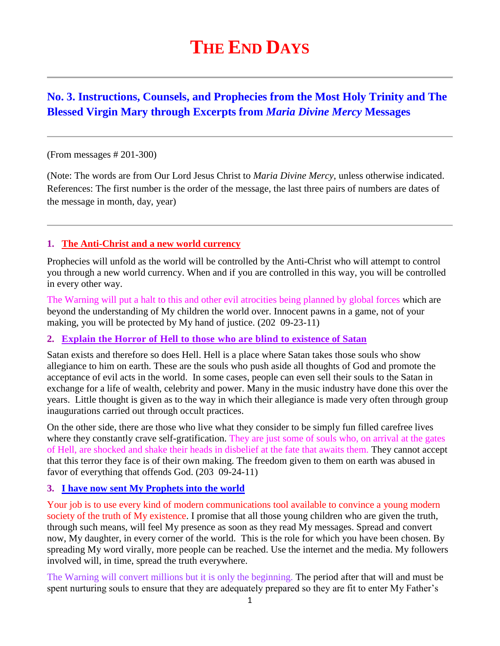# **THE END DAYS**

## **No. 3. Instructions, Counsels, and Prophecies from the Most Holy Trinity and The Blessed Virgin Mary through Excerpts from** *Maria Divine Mercy* **Messages**

#### (From messages # 201-300)

(Note: The words are from Our Lord Jesus Christ to *Maria Divine Mercy*, unless otherwise indicated. References: The first number is the order of the message, the last three pairs of numbers are dates of the message in month, day, year)

#### **1. The Anti-Christ and a new world currency**

Prophecies will unfold as the world will be controlled by the Anti-Christ who will attempt to control you through a new world currency. When and if you are controlled in this way, you will be controlled in every other way.

The Warning will put a halt to this and other evil atrocities being planned by global forces which are beyond the understanding of My children the world over. Innocent pawns in a game, not of your making, you will be protected by My hand of justice. (202 09-23-11)

#### **2. [Explain the Horror of Hell to those who are blind to](http://www.thewarningsecondcoming.com/explain-the-horror-of-hell-to-those-who-are-blind-to-existence-of-satan/) existence of Satan**

Satan exists and therefore so does Hell. Hell is a place where Satan takes those souls who show allegiance to him on earth. These are the souls who push aside all thoughts of God and promote the acceptance of evil acts in the world. In some cases, people can even sell their souls to the Satan in exchange for a life of wealth, celebrity and power. Many in the music industry have done this over the years. Little thought is given as to the way in which their allegiance is made very often through group inaugurations carried out through occult practices.

On the other side, there are those who live what they consider to be simply fun filled carefree lives where they constantly crave self-gratification. They are just some of souls who, on arrival at the gates of Hell, are shocked and shake their heads in disbelief at the fate that awaits them. They cannot accept that this terror they face is of their own making. The freedom given to them on earth was abused in favor of everything that offends God. (203 09-24-11)

#### **3. [I have now sent My Prophets into](http://www.thewarningsecondcoming.com/i-have-now-sent-my-prophets-into-the-world/) the world**

Your job is to use every kind of modern communications tool available to convince a young modern society of the truth of My existence. I promise that all those young children who are given the truth, through such means, will feel My presence as soon as they read My messages. Spread and convert now, My daughter, in every corner of the world. This is the role for which you have been chosen. By spreading My word virally, more people can be reached. Use the internet and the media. My followers involved will, in time, spread the truth everywhere.

The Warning will convert millions but it is only the beginning. The period after that will and must be spent nurturing souls to ensure that they are adequately prepared so they are fit to enter My Father's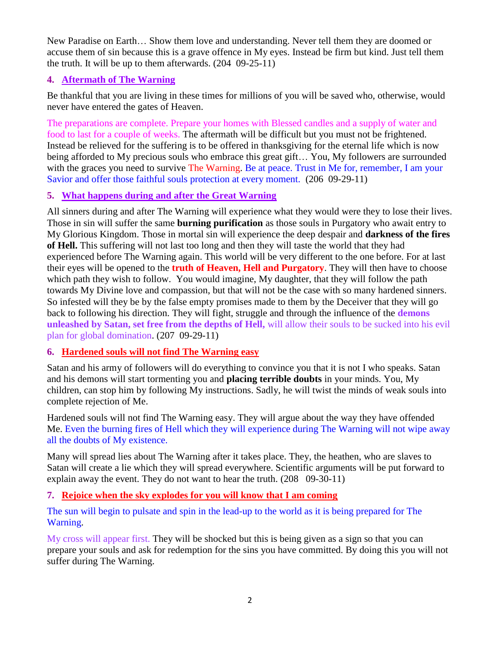New Paradise on Earth… Show them love and understanding. Never tell them they are doomed or accuse them of sin because this is a grave offence in My eyes. Instead be firm but kind. Just tell them the truth. It will be up to them afterwards. (204 09-25-11)

#### **4. [Aftermath of The Warning](http://www.thewarningsecondcoming.com/aftermath-of-the-warning/)**

Be thankful that you are living in these times for millions of you will be saved who, otherwise, would never have entered the gates of Heaven.

The preparations are complete. Prepare your homes with Blessed candles and a supply of water and food to last for a couple of weeks. The aftermath will be difficult but you must not be frightened. Instead be relieved for the suffering is to be offered in thanksgiving for the eternal life which is now being afforded to My precious souls who embrace this great gift… You, My followers are surrounded with the graces you need to survive The Warning. Be at peace. Trust in Me for, remember, I am your Savior and offer those faithful souls protection at every moment. (206 09-29-11)

#### **5. What happens during and after the Great Warning**

All sinners during and after The Warning will experience what they would were they to lose their lives. Those in sin will suffer the same **burning purification** as those souls in Purgatory who await entry to My Glorious Kingdom. Those in mortal sin will experience the deep despair and **darkness of the fires of Hell.** This suffering will not last too long and then they will taste the world that they had experienced before The Warning again. This world will be very different to the one before. For at last their eyes will be opened to the **truth of Heaven, Hell and Purgatory**. They will then have to choose which path they wish to follow. You would imagine, My daughter, that they will follow the path towards My Divine love and compassion, but that will not be the case with so many hardened sinners. So infested will they be by the false empty promises made to them by the Deceiver that they will go back to following his direction. They will fight, struggle and through the influence of the **demons unleashed by Satan, set free from the depths of Hell,** will allow their souls to be sucked into his evil plan for global domination. (207 09-29-11)

## **6. [Hardened souls will not find The Warning easy](http://www.thewarningsecondcoming.com/hardened-souls-will-not-find-the-warning-easy/)**

Satan and his army of followers will do everything to convince you that it is not I who speaks. Satan and his demons will start tormenting you and **placing terrible doubts** in your minds. You, My children, can stop him by following My instructions. Sadly, he will twist the minds of weak souls into complete rejection of Me.

Hardened souls will not find The Warning easy. They will argue about the way they have offended Me. Even the burning fires of Hell which they will experience during The Warning will not wipe away all the doubts of My existence.

Many will spread lies about The Warning after it takes place. They, the heathen, who are slaves to Satan will create a lie which they will spread everywhere. Scientific arguments will be put forward to explain away the event. They do not want to hear the truth. (208 09-30-11)

#### **7. [Rejoice when the sky explodes for you will know that I am coming](http://www.thewarningsecondcoming.com/rejoice-when-the-sky-explodes-for-you-will-know-that-i-am-coming/)**

The sun will begin to pulsate and spin in the lead-up to the world as it is being prepared for The Warning.

My cross will appear first. They will be shocked but this is being given as a sign so that you can prepare your souls and ask for redemption for the sins you have committed. By doing this you will not suffer during The Warning.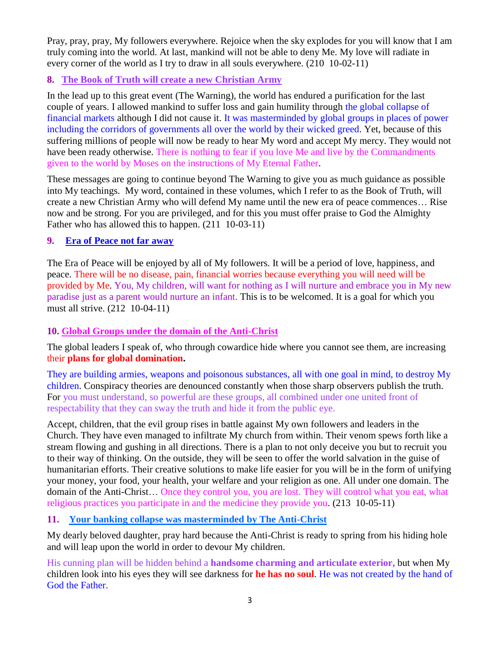Pray, pray, pray, My followers everywhere. Rejoice when the sky explodes for you will know that I am truly coming into the world. At last, mankind will not be able to deny Me. My love will radiate in every corner of the world as I try to draw in all souls everywhere. (210 10-02-11)

## **8. The Book of Truth will create a new Christian Army**

In the lead up to this great event (The Warning), the world has endured a purification for the last couple of years. I allowed mankind to suffer loss and gain humility through the global collapse of financial markets although I did not cause it. It was masterminded by global groups in places of power including the corridors of governments all over the world by their wicked greed. Yet, because of this suffering millions of people will now be ready to hear My word and accept My mercy. They would not have been ready otherwise. There is nothing to fear if you love Me and live by the Commandments given to the world by Moses on the instructions of My Eternal Father.

These messages are going to continue beyond The Warning to give you as much guidance as possible into My teachings. My word, contained in these volumes, which I refer to as the Book of Truth, will create a new Christian Army who will defend My name until the new era of peace commences… Rise now and be strong. For you are privileged, and for this you must offer praise to God the Almighty Father who has allowed this to happen. (211 10-03-11)

## **9. [Era of Peace not far away](http://www.thewarningsecondcoming.com/era-of-peace-not-far-away/)**

The Era of Peace will be enjoyed by all of My followers. It will be a period of love, happiness, and peace. There will be no disease, pain, financial worries because everything you will need will be provided by Me. You, My children, will want for nothing as I will nurture and embrace you in My new paradise just as a parent would nurture an infant. This is to be welcomed. It is a goal for which you must all strive. (212 10-04-11)

## **10. [Global Groups under the domain of the Anti-Christ](http://www.thewarningsecondcoming.com/global-groups-under-the-domain-of-the-anti-christ/)**

The global leaders I speak of, who through cowardice hide where you cannot see them, are increasing their **plans for global domination.**

They are building armies, weapons and poisonous substances, all with one goal in mind, to destroy My children. Conspiracy theories are denounced constantly when those sharp observers publish the truth. For you must understand, so powerful are these groups, all combined under one united front of respectability that they can sway the truth and hide it from the public eye.

Accept, children, that the evil group rises in battle against My own followers and leaders in the Church. They have even managed to infiltrate My church from within. Their venom spews forth like a stream flowing and gushing in all directions. There is a plan to not only deceive you but to recruit you to their way of thinking. On the outside, they will be seen to offer the world salvation in the guise of humanitarian efforts. Their creative solutions to make life easier for you will be in the form of unifying your money, your food, your health, your welfare and your religion as one. All under one domain. The domain of the Anti-Christ… Once they control you, you are lost. They will control what you eat, what religious practices you participate in and the medicine they provide you. (213 10-05-11)

## **11. [Your banking collapse was masterminded by The Anti-Christ](http://www.thewarningsecondcoming.com/your-banking-collapse-was-masterminded-by-the-anti-christ/)**

My dearly beloved daughter, pray hard because the Anti-Christ is ready to spring from his hiding hole and will leap upon the world in order to devour My children.

His cunning plan will be hidden behind a **handsome charming and articulate exterior,** but when My children look into his eyes they will see darkness for **he has no soul**. He was not created by the hand of God the Father.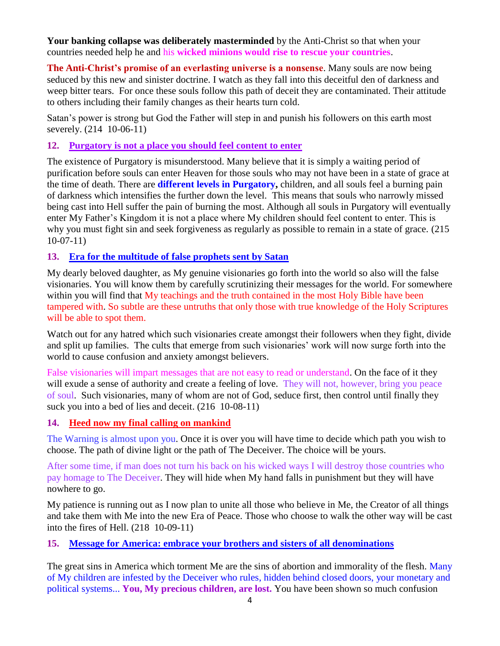**Your banking collapse was deliberately masterminded** by the Anti-Christ so that when your countries needed help he and his **wicked minions would rise to rescue your countries**.

**The Anti-Christ's promise of an everlasting universe is a nonsense**. Many souls are now being seduced by this new and sinister doctrine. I watch as they fall into this deceitful den of darkness and weep bitter tears. For once these souls follow this path of deceit they are contaminated. Their attitude to others including their family changes as their hearts turn cold.

Satan's power is strong but God the Father will step in and punish his followers on this earth most severely. (214 10-06-11)

#### **12. [Purgatory is not a place you should feel content to enter](http://www.thewarningsecondcoming.com/purgatory-is-not-a-place-you-should-feel-content-to-enter/)**

The existence of Purgatory is misunderstood. Many believe that it is simply a waiting period of purification before souls can enter Heaven for those souls who may not have been in a state of grace at the time of death. There are **different levels in Purgatory,** children, and all souls feel a burning pain of darkness which intensifies the further down the level. This means that souls who narrowly missed being cast into Hell suffer the pain of burning the most. Although all souls in Purgatory will eventually enter My Father's Kingdom it is not a place where My children should feel content to enter. This is why you must fight sin and seek forgiveness as regularly as possible to remain in a state of grace. (215 10-07-11)

#### **13. [Era for the multitude of false prophets sent by Satan](http://www.thewarningsecondcoming.com/era-for-the-multitude-of-false-prophets-sent-by-satan/)**

My dearly beloved daughter, as My genuine visionaries go forth into the world so also will the false visionaries. You will know them by carefully scrutinizing their messages for the world. For somewhere within you will find that My teachings and the truth contained in the most Holy Bible have been tampered with. So subtle are these untruths that only those with true knowledge of the Holy Scriptures will be able to spot them.

Watch out for any hatred which such visionaries create amongst their followers when they fight, divide and split up families. The cults that emerge from such visionaries' work will now surge forth into the world to cause confusion and anxiety amongst believers.

False visionaries will impart messages that are not easy to read or understand. On the face of it they will exude a sense of authority and create a feeling of love. They will not, however, bring you peace of soul. Such visionaries, many of whom are not of God, seduce first, then control until finally they suck you into a bed of lies and deceit.  $(216 \t10-08-11)$ 

#### **14. Heed now my final calling on mankind**

The Warning is almost upon you. Once it is over you will have time to decide which path you wish to choose. The path of divine light or the path of The Deceiver. The choice will be yours.

After some time, if man does not turn his back on his wicked ways I will destroy those countries who pay homage to The Deceiver. They will hide when My hand falls in punishment but they will have nowhere to go.

My patience is running out as I now plan to unite all those who believe in Me, the Creator of all things and take them with Me into the new Era of Peace. Those who choose to walk the other way will be cast into the fires of Hell. (218 10-09-11)

#### **15. [Message for America: embrace your brothers and sisters of all denominations](http://www.thewarningsecondcoming.com/message-for-america-embrace-your-brothers-and-sisters-of-all-denominations/)**

The great sins in America which torment Me are the sins of abortion and immorality of the flesh. Many of My children are infested by the Deceiver who rules, hidden behind closed doors, your monetary and political systems... **You, My precious children, are lost.** You have been shown so much confusion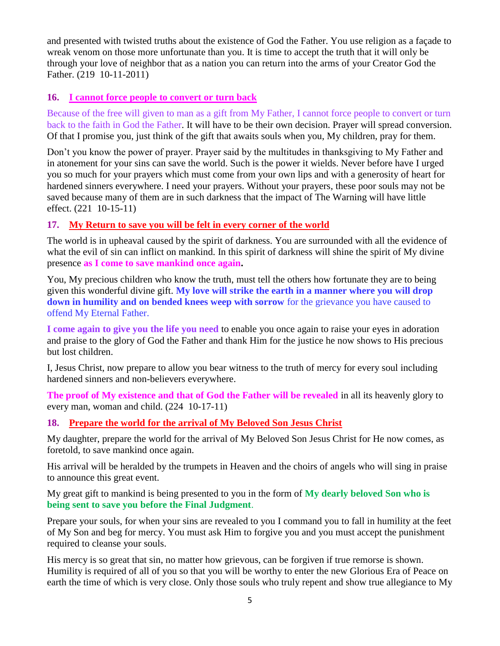and presented with twisted truths about the existence of God the Father. You use religion as a façade to wreak venom on those more unfortunate than you. It is time to accept the truth that it will only be through your love of neighbor that as a nation you can return into the arms of your Creator God the Father. (219 10-11-2011)

#### **16. [I cannot force people to convert or turn back](http://www.thewarningsecondcoming.com/i-cannot-force-people-to-convert-or-turn-back/)**

Because of the free will given to man as a gift from My Father, I cannot force people to convert or turn back to the faith in God the Father. It will have to be their own decision. Prayer will spread conversion. Of that I promise you, just think of the gift that awaits souls when you, My children, pray for them.

Don't you know the power of prayer. Prayer said by the multitudes in thanksgiving to My Father and in atonement for your sins can save the world. Such is the power it wields. Never before have I urged you so much for your prayers which must come from your own lips and with a generosity of heart for hardened sinners everywhere. I need your prayers. Without your prayers, these poor souls may not be saved because many of them are in such darkness that the impact of The Warning will have little effect. (221 10-15-11)

## **17. [My Return to save you will be felt in every corner of the world](http://www.thewarningsecondcoming.com/my-return-to-save-you-will-be-felt-in-every-corner-of-the-world/)**

The world is in upheaval caused by the spirit of darkness. You are surrounded with all the evidence of what the evil of sin can inflict on mankind. In this spirit of darkness will shine the spirit of My divine presence **as I come to save mankind once again.**

You, My precious children who know the truth, must tell the others how fortunate they are to being given this wonderful divine gift. **My love will strike the earth in a manner where you will drop down in humility and on bended knees weep with sorrow** for the grievance you have caused to offend My Eternal Father.

**I come again to give you the life you need** to enable you once again to raise your eyes in adoration and praise to the glory of God the Father and thank Him for the justice he now shows to His precious but lost children.

I, Jesus Christ, now prepare to allow you bear witness to the truth of mercy for every soul including hardened sinners and non-believers everywhere.

**The proof of My existence and that of God the Father will be revealed** in all its heavenly glory to every man, woman and child. (224 10-17-11)

## **18. [Prepare the world for the arrival of My Beloved Son Jesus Christ](http://www.thewarningsecondcoming.com/god-the-father-prepare-the-world-for-the-arrival-of-my-beloved-son-jesus-christ/)**

My daughter, prepare the world for the arrival of My Beloved Son Jesus Christ for He now comes, as foretold, to save mankind once again.

His arrival will be heralded by the trumpets in Heaven and the choirs of angels who will sing in praise to announce this great event.

My great gift to mankind is being presented to you in the form of **My dearly beloved Son who is being sent to save you before the Final Judgment**.

Prepare your souls, for when your sins are revealed to you I command you to fall in humility at the feet of My Son and beg for mercy. You must ask Him to forgive you and you must accept the punishment required to cleanse your souls.

His mercy is so great that sin, no matter how grievous, can be forgiven if true remorse is shown. Humility is required of all of you so that you will be worthy to enter the new Glorious Era of Peace on earth the time of which is very close. Only those souls who truly repent and show true allegiance to My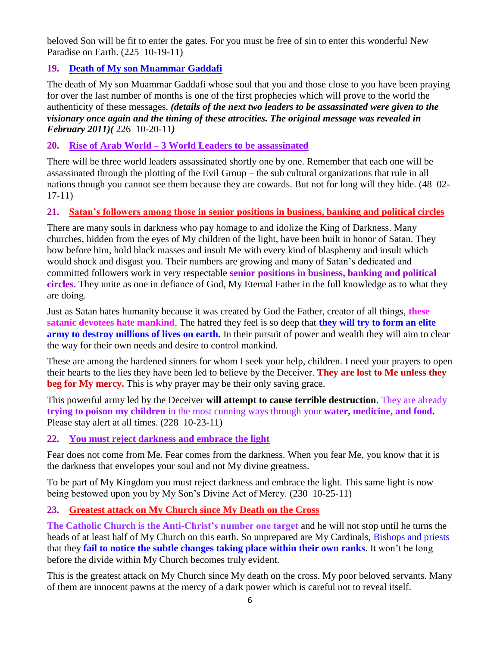beloved Son will be fit to enter the gates. For you must be free of sin to enter this wonderful New Paradise on Earth. (225 10-19-11)

## **19. [Death of My son Muammar Gaddafi](http://www.thewarningsecondcoming.com/death-of-my-son-muammar-gaddafi/)**

The death of My son Muammar Gaddafi whose soul that you and those close to you have been praying for over the last number of months is one of the first prophecies which will prove to the world the authenticity of these messages. *(details of the next two leaders to be assassinated were given to the visionary once again and the timing of these atrocities. The original message was revealed in February 2011)(* 226 10-20-11*)*

## **20. Rise of Arab World – [3 World Leaders to be assassinated](http://www.thewarningsecondcoming.com/rise-of-arab-world-3-world-leaders-to-be-assassinated/)**

There will be three world leaders assassinated shortly one by one. Remember that each one will be assassinated through the plotting of the Evil Group – the sub cultural organizations that rule in all nations though you cannot see them because they are cowards. But not for long will they hide. (48 02- 17-11)

## **21. Satan's followers among those in senior positions in business, banking and political circles**

There are many souls in darkness who pay homage to and idolize the King of Darkness. Many churches, hidden from the eyes of My children of the light, have been built in honor of Satan. They bow before him, hold black masses and insult Me with every kind of blasphemy and insult which would shock and disgust you. Their numbers are growing and many of Satan's dedicated and committed followers work in very respectable **senior positions in business, banking and political circles.** They unite as one in defiance of God, My Eternal Father in the full knowledge as to what they are doing.

Just as Satan hates humanity because it was created by God the Father, creator of all things, **these satanic devotees hate mankind**. The hatred they feel is so deep that **they will try to form an elite army to destroy millions of lives on earth.** In their pursuit of power and wealth they will aim to clear the way for their own needs and desire to control mankind.

These are among the hardened sinners for whom I seek your help, children. I need your prayers to open their hearts to the lies they have been led to believe by the Deceiver. **They are lost to Me unless they beg for My mercy.** This is why prayer may be their only saving grace.

This powerful army led by the Deceiver **will attempt to cause terrible destruction**. They are already **trying to poison my children** in the most cunning ways through your **water, medicine, and food.**  Please stay alert at all times. (228 10-23-11)

## **22. You must reject darkness and embrace the light**

Fear does not come from Me. Fear comes from the darkness. When you fear Me, you know that it is the darkness that envelopes your soul and not My divine greatness.

To be part of My Kingdom you must reject darkness and embrace the light. This same light is now being bestowed upon you by My Son's Divine Act of Mercy. (230 10-25-11)

## **23. [Greatest attack on My Church since My Death on the Cross](http://www.thewarningsecondcoming.com/greatest-attack-on-my-church-since-my-death-on-the-cross/)**

**The Catholic Church is the Anti-Christ's number one target** and he will not stop until he turns the heads of at least half of My Church on this earth. So unprepared are My Cardinals, Bishops and priests that they **fail to notice the subtle changes taking place within their own ranks**. It won't be long before the divide within My Church becomes truly evident.

This is the greatest attack on My Church since My death on the cross. My poor beloved servants. Many of them are innocent pawns at the mercy of a dark power which is careful not to reveal itself.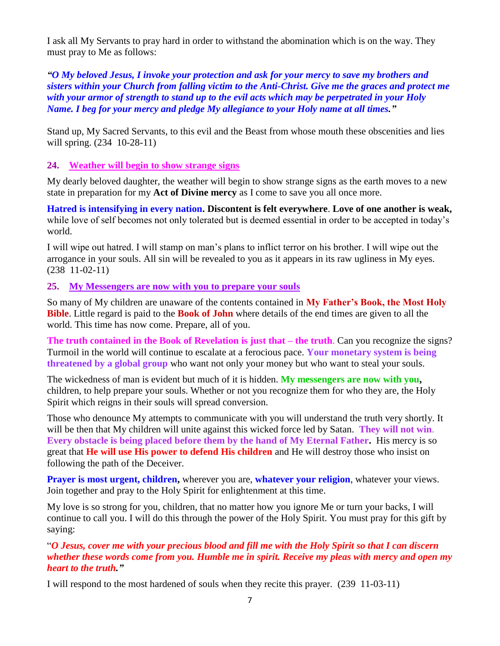I ask all My Servants to pray hard in order to withstand the abomination which is on the way. They must pray to Me as follows:

*"O My beloved Jesus, I invoke your protection and ask for your mercy to save my brothers and sisters within your Church from falling victim to the Anti-Christ. Give me the graces and protect me with your armor of strength to stand up to the evil acts which may be perpetrated in your Holy Name. I beg for your mercy and pledge My allegiance to your Holy name at all times."*

Stand up, My Sacred Servants, to this evil and the Beast from whose mouth these obscenities and lies will spring. (234 10-28-11)

#### **24. [Weather will begin to show strange signs](http://www.thewarningsecondcoming.com/weather-will-begin-to-show-strange-signs/)**

My dearly beloved daughter, the weather will begin to show strange signs as the earth moves to a new state in preparation for my **Act of Divine mercy** as I come to save you all once more.

**Hatred is intensifying in every nation. Discontent is felt everywhere**. **Love of one another is weak,** while love of self becomes not only tolerated but is deemed essential in order to be accepted in today's world.

I will wipe out hatred. I will stamp on man's plans to inflict terror on his brother. I will wipe out the arrogance in your souls. All sin will be revealed to you as it appears in its raw ugliness in My eyes. (238 11-02-11)

#### **25. [My Messengers are now with you to prepare your souls](http://www.thewarningsecondcoming.com/my-messengers-are-now-with-you-to-prepare-your-souls/)**

So many of My children are unaware of the contents contained in **My Father's Book, the Most Holy Bible**. Little regard is paid to the **Book of John** where details of the end times are given to all the world. This time has now come. Prepare, all of you.

**The truth contained in the Book of Revelation is just that – the truth**. Can you recognize the signs? Turmoil in the world will continue to escalate at a ferocious pace. **Your monetary system is being threatened by a global group** who want not only your money but who want to steal your souls.

The wickedness of man is evident but much of it is hidden. **My messengers are now with you,** children, to help prepare your souls. Whether or not you recognize them for who they are, the Holy Spirit which reigns in their souls will spread conversion.

Those who denounce My attempts to communicate with you will understand the truth very shortly. It will be then that My children will unite against this wicked force led by Satan. **They will not win**. **Every obstacle is being placed before them by the hand of My Eternal Father.** His mercy is so great that **He will use His power to defend His children** and He will destroy those who insist on following the path of the Deceiver.

**Prayer is most urgent, children,** wherever you are, **whatever your religion**, whatever your views. Join together and pray to the Holy Spirit for enlightenment at this time.

My love is so strong for you, children, that no matter how you ignore Me or turn your backs, I will continue to call you. I will do this through the power of the Holy Spirit. You must pray for this gift by saying:

"*O Jesus, cover me with your precious blood and fill me with the Holy Spirit so that I can discern whether these words come from you. Humble me in spirit. Receive my pleas with mercy and open my heart to the truth."*

I will respond to the most hardened of souls when they recite this prayer. (239 11-03-11)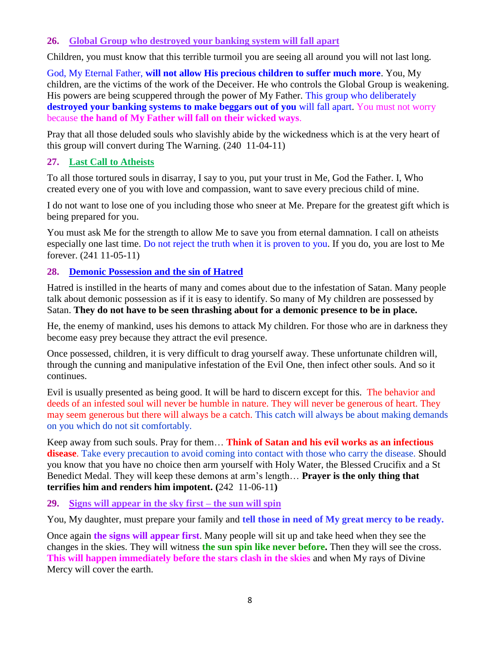#### **26. [Global Group who destroyed your banking system will fall apart](http://www.thewarningsecondcoming.com/global-group-who-destroyed-your-banking-system-will-fall-apart/)**

Children, you must know that this terrible turmoil you are seeing all around you will not last long.

God, My Eternal Father, **will not allow His precious children to suffer much more**. You, My children, are the victims of the work of the Deceiver. He who controls the Global Group is weakening. His powers are being scuppered through the power of My Father. This group who deliberately **destroyed your banking systems to make beggars out of you** will fall apart. You must not worry because **the hand of My Father will fall on their wicked ways**.

Pray that all those deluded souls who slavishly abide by the wickedness which is at the very heart of this group will convert during The Warning. (240 11-04-11)

#### **27. Last Call to Atheists**

To all those tortured souls in disarray, I say to you, put your trust in Me, God the Father. I, Who created every one of you with love and compassion, want to save every precious child of mine.

I do not want to lose one of you including those who sneer at Me. Prepare for the greatest gift which is being prepared for you.

You must ask Me for the strength to allow Me to save you from eternal damnation. I call on atheists especially one last time. Do not reject the truth when it is proven to you. If you do, you are lost to Me forever. (241 11-05-11)

## **28. [Demonic Possession and the sin of Hatred](http://www.thewarningsecondcoming.com/demonic-possession-and-the-sin-of-hatred/)**

Hatred is instilled in the hearts of many and comes about due to the infestation of Satan. Many people talk about demonic possession as if it is easy to identify. So many of My children are possessed by Satan. **They do not have to be seen thrashing about for a demonic presence to be in place.**

He, the enemy of mankind, uses his demons to attack My children. For those who are in darkness they become easy prey because they attract the evil presence.

Once possessed, children, it is very difficult to drag yourself away. These unfortunate children will, through the cunning and manipulative infestation of the Evil One, then infect other souls. And so it continues.

Evil is usually presented as being good. It will be hard to discern except for this. The behavior and deeds of an infested soul will never be humble in nature. They will never be generous of heart. They may seem generous but there will always be a catch. This catch will always be about making demands on you which do not sit comfortably.

Keep away from such souls. Pray for them… **Think of Satan and his evil works as an infectious disease**. Take every precaution to avoid coming into contact with those who carry the disease. Should you know that you have no choice then arm yourself with Holy Water, the Blessed Crucifix and a St Benedict Medal. They will keep these demons at arm's length… **Prayer is the only thing that terrifies him and renders him impotent. (**242 11-06-11**)**

#### **29. [Signs will appear in the sky first –](http://www.thewarningsecondcoming.com/signs-will-appear-in-the-sky-first-the-sun-will-spin/) the sun will spin**

You, My daughter, must prepare your family and **tell those in need of My great mercy to be ready.**

Once again **the signs will appear first**. Many people will sit up and take heed when they see the changes in the skies. They will witness **the sun spin like never before.** Then they will see the cross. **This will happen immediately before the stars clash in the skies** and when My rays of Divine Mercy will cover the earth.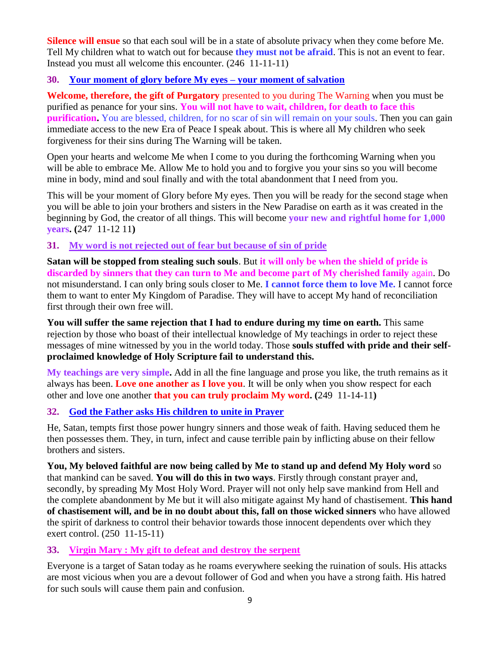**Silence will ensue** so that each soul will be in a state of absolute privacy when they come before Me. Tell My children what to watch out for because **they must not be afraid**. This is not an event to fear. Instead you must all welcome this encounter. (246 11-11-11)

#### **30. [Your moment of glory before My eyes –](http://www.thewarningsecondcoming.com/your-moment-of-glory-before-my-eyes-your-moment-of-salvation/) your moment of salvation**

**Welcome, therefore, the gift of Purgatory** presented to you during The Warning when you must be purified as penance for your sins. **You will not have to wait, children, for death to face this purification.** You are blessed, children, for no scar of sin will remain on your souls. Then you can gain immediate access to the new Era of Peace I speak about. This is where all My children who seek forgiveness for their sins during The Warning will be taken.

Open your hearts and welcome Me when I come to you during the forthcoming Warning when you will be able to embrace Me. Allow Me to hold you and to forgive you your sins so you will become mine in body, mind and soul finally and with the total abandonment that I need from you.

This will be your moment of Glory before My eyes. Then you will be ready for the second stage when you will be able to join your brothers and sisters in the New Paradise on earth as it was created in the beginning by God, the creator of all things. This will become **your new and rightful home for 1,000 years. (**247 11-12 11**)**

#### **31. [My word is not rejected out of fear but because of sin of pride](http://www.thewarningsecondcoming.com/my-word-is-not-rejected-out-of-fear-but-because-of-sin-of-pride/)**

**Satan will be stopped from stealing such souls**. But **it will only be when the shield of pride is discarded by sinners that they can turn to Me and become part of My cherished family** again. Do not misunderstand. I can only bring souls closer to Me. **I cannot force them to love Me.** I cannot force them to want to enter My Kingdom of Paradise. They will have to accept My hand of reconciliation first through their own free will.

**You will suffer the same rejection that I had to endure during my time on earth.** This same rejection by those who boast of their intellectual knowledge of My teachings in order to reject these messages of mine witnessed by you in the world today. Those **souls stuffed with pride and their selfproclaimed knowledge of Holy Scripture fail to understand this.**

**My teachings are very simple.** Add in all the fine language and prose you like, the truth remains as it always has been. **Love one another as I love you**. It will be only when you show respect for each other and love one another **that you can truly proclaim My word. (**249 11-14-11**)**

## **32. [God the Father asks His children to unite in Prayer](http://www.thewarningsecondcoming.com/god-the-father-asks-his-children-to-unite-in-prayer/)**

He, Satan, tempts first those power hungry sinners and those weak of faith. Having seduced them he then possesses them. They, in turn, infect and cause terrible pain by inflicting abuse on their fellow brothers and sisters.

**You, My beloved faithful are now being called by Me to stand up and defend My Holy word** so that mankind can be saved. **You will do this in two ways**. Firstly through constant prayer and, secondly, by spreading My Most Holy Word. Prayer will not only help save mankind from Hell and the complete abandonment by Me but it will also mitigate against My hand of chastisement. **This hand of chastisement will, and be in no doubt about this, fall on those wicked sinners** who have allowed the spirit of darkness to control their behavior towards those innocent dependents over which they exert control. (250 11-15-11)

## **33. [Virgin Mary : My gift to defeat and destroy the serpent](http://www.thewarningsecondcoming.com/virgin-mary-my-gift-to-defeat-and-destroy-the-serpent/)**

Everyone is a target of Satan today as he roams everywhere seeking the ruination of souls. His attacks are most vicious when you are a devout follower of God and when you have a strong faith. His hatred for such souls will cause them pain and confusion.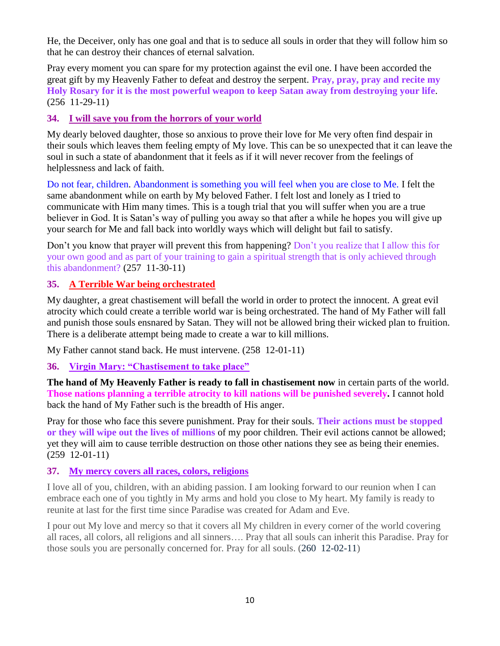He, the Deceiver, only has one goal and that is to seduce all souls in order that they will follow him so that he can destroy their chances of eternal salvation.

Pray every moment you can spare for my protection against the evil one. I have been accorded the great gift by my Heavenly Father to defeat and destroy the serpent. **Pray, pray, pray and recite my Holy Rosary for it is the most powerful weapon to keep Satan away from destroying your life**. (256 11-29-11)

## **34. [I will save you from the horrors of](http://www.thewarningsecondcoming.com/i-will-save-you-from-the-horrors-of-your-world/) your world**

My dearly beloved daughter, those so anxious to prove their love for Me very often find despair in their souls which leaves them feeling empty of My love. This can be so unexpected that it can leave the soul in such a state of abandonment that it feels as if it will never recover from the feelings of helplessness and lack of faith.

Do not fear, children. Abandonment is something you will feel when you are close to Me. I felt the same abandonment while on earth by My beloved Father. I felt lost and lonely as I tried to communicate with Him many times. This is a tough trial that you will suffer when you are a true believer in God. It is Satan's way of pulling you away so that after a while he hopes you will give up your search for Me and fall back into worldly ways which will delight but fail to satisfy.

Don't you know that prayer will prevent this from happening? Don't you realize that I allow this for your own good and as part of your training to gain a spiritual strength that is only achieved through this abandonment? (257 11-30-11)

## **35. A [Terrible War being orchestrated](http://www.thewarningsecondcoming.com/terrible-war-being-orchestrated/)**

My daughter, a great chastisement will befall the world in order to protect the innocent. A great evil atrocity which could create a terrible world war is being orchestrated. The hand of My Father will fall and punish those souls ensnared by Satan. They will not be allowed bring their wicked plan to fruition. There is a deliberate attempt being made to create a war to kill millions.

My Father cannot stand back. He must intervene. (258 12-01-11)

**36. [Virgin Mary: "Chastisement to take place"](http://www.thewarningsecondcoming.com/virgin-mary-chastisement-to-take-place/)**

**The hand of My Heavenly Father is ready to fall in chastisement now** in certain parts of the world. **Those nations planning a terrible atrocity to kill nations will be punished severely.** I cannot hold back the hand of My Father such is the breadth of His anger.

Pray for those who face this severe punishment. Pray for their souls. **Their actions must be stopped or they will wipe out the lives of millions** of my poor children. Their evil actions cannot be allowed; yet they will aim to cause terrible destruction on those other nations they see as being their enemies. (259 12-01-11)

## **37. [My mercy covers all races, colors, religions](http://www.thewarningsecondcoming.com/my-mercy-covers-all-races-colours-religions/)**

I love all of you, children, with an abiding passion. I am looking forward to our reunion when I can embrace each one of you tightly in My arms and hold you close to My heart. My family is ready to reunite at last for the first time since Paradise was created for Adam and Eve.

I pour out My love and mercy so that it covers all My children in every corner of the world covering all races, all colors, all religions and all sinners…. Pray that all souls can inherit this Paradise. Pray for those souls you are personally concerned for. Pray for all souls. (260 12-02-11)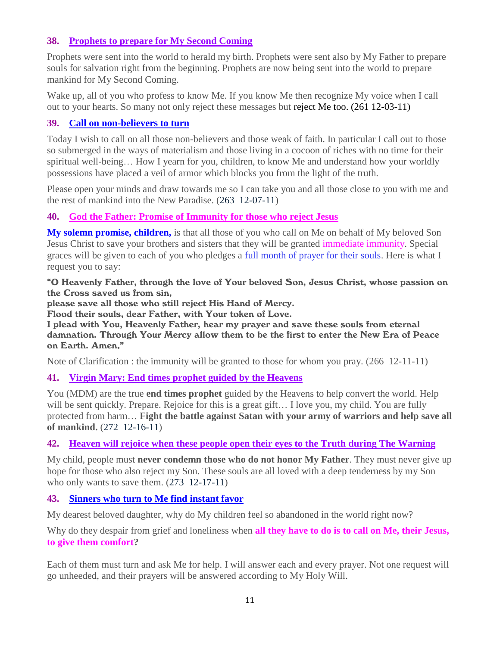## **38. [Prophets to prepare for My Second Coming](http://www.thewarningsecondcoming.com/prophets-to-prepare-for-my-second-coming/)**

Prophets were sent into the world to herald my birth. Prophets were sent also by My Father to prepare souls for salvation right from the beginning. Prophets are now being sent into the world to prepare mankind for My Second Coming.

Wake up, all of you who profess to know Me. If you know Me then recognize My voice when I call out to your hearts. So many not only reject these messages but reject Me too. (261 12-03-11)

## **39. [Call on non-believers to turn](http://www.thewarningsecondcoming.com/call-on-non-believers-to-turn/)**

Today I wish to call on all those non-believers and those weak of faith. In particular I call out to those so submerged in the ways of materialism and those living in a cocoon of riches with no time for their spiritual well-being… How I yearn for you, children, to know Me and understand how your worldly possessions have placed a veil of armor which blocks you from the light of the truth.

Please open your minds and draw towards me so I can take you and all those close to you with me and the rest of mankind into the New Paradise. (263 12-07-11)

## **40. God the Father: Promise of Immunity for those who reject Jesus**

**My solemn promise, children,** is that all those of you who call on Me on behalf of My beloved Son Jesus Christ to save your brothers and sisters that they will be granted immediate immunity. Special graces will be given to each of you who pledges a full month of prayer for their souls. Here is what I request you to say:

"O Heavenly Father, through the love of Your beloved Son, Jesus Christ, whose passion on the Cross saved us from sin,

please save all those who still reject His Hand of Mercy.

Flood their souls, dear Father, with Your token of Love.

I plead with You, Heavenly Father, hear my prayer and save these souls from eternal damnation. Through Your Mercy allow them to be the first to enter the New Era of Peace on Earth. Amen."

Note of Clarification : the immunity will be granted to those for whom you pray. (266 12-11-11)

## **41. Virgin Mary: End times prophet guided by the Heavens**

You (MDM) are the true **end times prophet** guided by the Heavens to help convert the world. Help will be sent quickly. Prepare. Rejoice for this is a great gift... I love you, my child. You are fully protected from harm… **Fight the battle against Satan with your army of warriors and help save all of mankind.** (272 12-16-11)

## **42. Heaven will rejoice when these people open their eyes to the Truth during The Warning**

My child, people must **never condemn those who do not honor My Father**. They must never give up hope for those who also reject my Son. These souls are all loved with a deep tenderness by my Son who only wants to save them.  $(273 \text{ } 12-17-11)$ 

## **43. [Sinners who turn to Me find instant favor](http://www.thewarningsecondcoming.com/sinners-who-turn-to-me-find-instant-favour/)**

My dearest beloved daughter, why do My children feel so abandoned in the world right now?

Why do they despair from grief and loneliness when **all they have to do is to call on Me, their Jesus, to give them comfort?**

Each of them must turn and ask Me for help. I will answer each and every prayer. Not one request will go unheeded, and their prayers will be answered according to My Holy Will.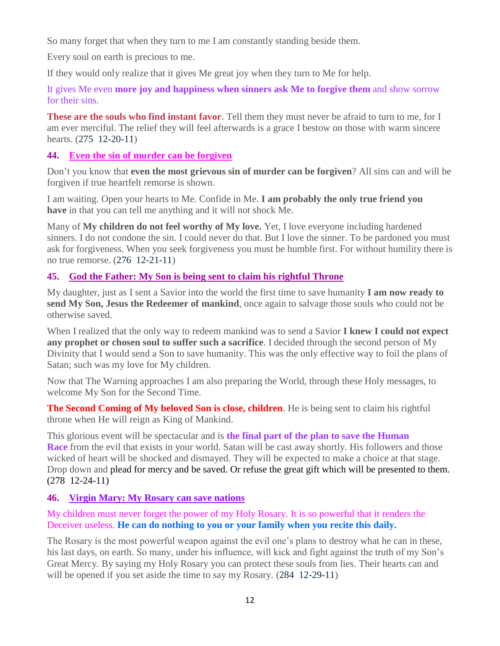So many forget that when they turn to me I am constantly standing beside them.

Every soul on earth is precious to me.

If they would only realize that it gives Me great joy when they turn to Me for help.

It gives Me even **more joy and happiness when sinners ask Me to forgive them** and show sorrow for their sins.

**These are the souls who find instant favor**. Tell them they must never be afraid to turn to me, for I am ever merciful. The relief they will feel afterwards is a grace I bestow on those with warm sincere hearts. (275 12-20-11)

## **44. [Even the sin of murder can be forgiven](http://www.thewarningsecondcoming.com/even-the-sin-of-murder-can-be-forgiven/)**

Don't you know that **even the most grievous sin of murder can be forgiven**? All sins can and will be forgiven if true heartfelt remorse is shown.

I am waiting. Open your hearts to Me. Confide in Me. **I am probably the only true friend you have** in that you can tell me anything and it will not shock Me.

Many of **My children do not feel worthy of My love.** Yet, I love everyone including hardened sinners. I do not condone the sin. I could never do that. But I love the sinner. To be pardoned you must ask for forgiveness. When you seek forgiveness you must be humble first. For without humility there is no true remorse. (276 12-21-11)

## **45. [God the Father: My Son is being sent to claim his rightful Throne](http://www.thewarningsecondcoming.com/god-the-father-my-son-is-being-sent-to-claim-his-rightful-throne-2/)**

My daughter, just as I sent a Savior into the world the first time to save humanity **I am now ready to send My Son, Jesus the Redeemer of mankind**, once again to salvage those souls who could not be otherwise saved.

When I realized that the only way to redeem mankind was to send a Savior **I knew I could not expect any prophet or chosen soul to suffer such a sacrifice**. I decided through the second person of My Divinity that I would send a Son to save humanity. This was the only effective way to foil the plans of Satan; such was my love for My children.

Now that The Warning approaches I am also preparing the World, through these Holy messages, to welcome My Son for the Second Time.

**The Second Coming of My beloved Son is close, children**. He is being sent to claim his rightful throne when He will reign as King of Mankind.

This glorious event will be spectacular and is **the final part of the plan to save the Human Race** from the evil that exists in your world. Satan will be cast away shortly. His followers and those wicked of heart will be shocked and dismayed. They will be expected to make a choice at that stage. Drop down and plead for mercy and be saved. Or refuse the great gift which will be presented to them. (278 12-24-11)

## **46. [Virgin Mary: My Rosary can save nations](http://www.thewarningsecondcoming.com/virgin-mary-my-rosary-can-save-nations/)**

My children must never forget the power of my Holy Rosary. It is so powerful that it renders the Deceiver useless. **He can do nothing to you or your family when you recite this daily.**

The Rosary is the most powerful weapon against the evil one's plans to destroy what he can in these, his last days, on earth. So many, under his influence, will kick and fight against the truth of my Son's Great Mercy. By saying my Holy Rosary you can protect these souls from lies. Their hearts can and will be opened if you set aside the time to say my Rosary. (284 12-29-11)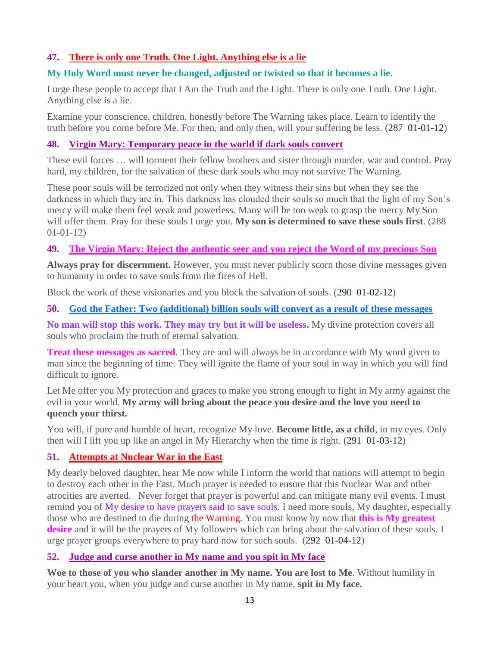## **47. There is [only one Truth. One Light. Anything else is a lie](http://www.thewarningsecondcoming.com/there-is-only-one-truth-one-light-anything-else-is-a-lie/)**

#### **My Holy Word must never be changed, adjusted or twisted so that it becomes a lie.**

I urge these people to accept that I Am the Truth and the Light. There is only one Truth. One Light. Anything else is a lie.

Examine your conscience, children, honestly before The Warning takes place. Learn to identify the truth before you come before Me. For then, and only then, will your suffering be less. (287 01-01-12)

#### **48. Virgin Mary: Temporary peace in the world if dark souls convert**

These evil forces … will torment their fellow brothers and sister through murder, war and control. Pray hard, my children, for the salvation of these dark souls who may not survive The Warning.

These poor souls will be terrorized not only when they witness their sins but when they see the darkness in which they are in. This darkness has clouded their souls so much that the light of my Son's mercy will make them feel weak and powerless. Many will be too weak to grasp the mercy My Son will offer them. Pray for these souls I urge you. **My son is determined to save these souls first**. (288 01-01-12)

#### **49. The Virgin Mary: Reject the authentic seer and you reject the Word of my precious Son**

**Always pray for discernment.** However, you must never publicly scorn those divine messages given to humanity in order to save souls from the fires of Hell.

Block the work of these visionaries and you block the salvation of souls. (290 01-02-12)

#### **50. [God the Father: Two \(additional\) billion souls will convert as a result of these messages](http://www.thewarningsecondcoming.com/god-the-father-my-army-will-bring-about-the-peace-you-desire/)**

**No man will stop this work. They may try but it will be useless.** My divine protection covers all souls who proclaim the truth of eternal salvation.

**Treat these messages as sacred.** They are and will always be in accordance with My word given to man since the beginning of time. They will ignite the flame of your soul in way in which you will find difficult to ignore.

Let Me offer you My protection and graces to make you strong enough to fight in My army against the evil in your world. **My army will bring about the peace you desire and the love you need to quench your thirst.**

You will, if pure and humble of heart, recognize My love. **Become little, as a child**, in my eyes. Only then will I lift you up like an angel in My Hierarchy when the time is right. (291 01-03-12)

## **51. At[tempts at Nuclear War in the East](http://www.thewarningsecondcoming.com/attempts-at-nuclear-war-in-the-east/)**

My dearly beloved daughter, hear Me now while I inform the world that nations will attempt to begin to destroy each other in the East. Much prayer is needed to ensure that this Nuclear War and other atrocities are averted. Never forget that prayer is powerful and can mitigate many evil events. I must remind you of My desire to have prayers said to save souls. I need more souls, My daughter, especially those who are destined to die during the Warning. You must know by now that **this is My greatest desire** and it will be the prayers of My followers which can bring about the salvation of these souls. I urge prayer groups everywhere to pray hard now for such souls. (292 01-04-12)

#### **52. [Judge and curse another in My name and you spit in My face](http://www.thewarningsecondcoming.com/judge-and-curse-another-in-my-name-and-you-spit-in-my-face/)**

**Woe to those of you who slander another in My name. You are lost to Me**. Without humility in your heart you, when you judge and curse another in My name, **spit in My face.**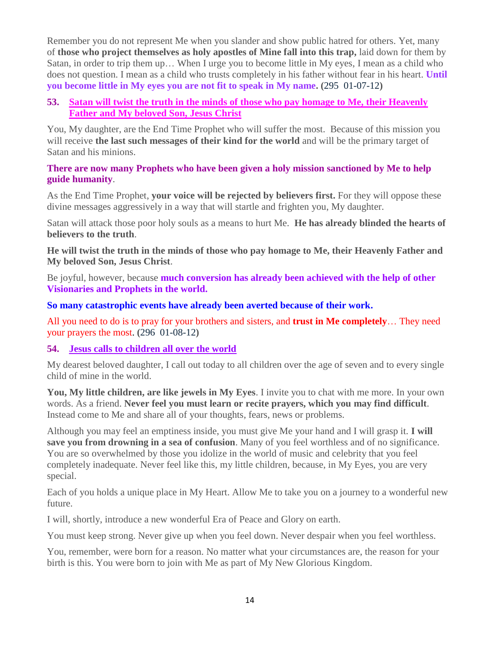Remember you do not represent Me when you slander and show public hatred for others. Yet, many of **those who project themselves as holy apostles of Mine fall into this trap,** laid down for them by Satan, in order to trip them up… When I urge you to become little in My eyes, I mean as a child who does not question. I mean as a child who trusts completely in his father without fear in his heart. **Until you become little in My eyes you are not fit to speak in My name. (**295 01-07-12**)**

#### **53. Satan will twist the truth in the minds of those who pay homage to Me, their Heavenly Father and My beloved Son, Jesus Christ**

You, My daughter, are the End Time Prophet who will suffer the most. Because of this mission you will receive **the last such messages of their kind for the world** and will be the primary target of Satan and his minions.

#### **There are now many Prophets who have been given a holy mission sanctioned by Me to help guide humanity**.

As the End Time Prophet, **your voice will be rejected by believers first.** For they will oppose these divine messages aggressively in a way that will startle and frighten you, My daughter.

Satan will attack those poor holy souls as a means to hurt Me. **He has already blinded the hearts of believers to the truth**.

**He will twist the truth in the minds of those who pay homage to Me, their Heavenly Father and My beloved Son, Jesus Christ**.

Be joyful, however, because **much conversion has already been achieved with the help of other Visionaries and Prophets in the world.** 

#### **So many catastrophic events have already been averted because of their work.**

All you need to do is to pray for your brothers and sisters, and **trust in Me completely**… They need your prayers the most. **(**296 01-08-12**)**

## **54. [Jesus calls to children all over the world](http://www.thewarningsecondcoming.com/jesus-calls-to-children-all-over-the-world/)**

My dearest beloved daughter, I call out today to all children over the age of seven and to every single child of mine in the world.

**You, My little children, are like jewels in My Eyes**. I invite you to chat with me more. In your own words. As a friend. **Never feel you must learn or recite prayers, which you may find difficult**. Instead come to Me and share all of your thoughts, fears, news or problems.

Although you may feel an emptiness inside, you must give Me your hand and I will grasp it. **I will save you from drowning in a sea of confusion**. Many of you feel worthless and of no significance. You are so overwhelmed by those you idolize in the world of music and celebrity that you feel completely inadequate. Never feel like this, my little children, because, in My Eyes, you are very special.

Each of you holds a unique place in My Heart. Allow Me to take you on a journey to a wonderful new future.

I will, shortly, introduce a new wonderful Era of Peace and Glory on earth.

You must keep strong. Never give up when you feel down. Never despair when you feel worthless.

You, remember, were born for a reason. No matter what your circumstances are, the reason for your birth is this. You were born to join with Me as part of My New Glorious Kingdom.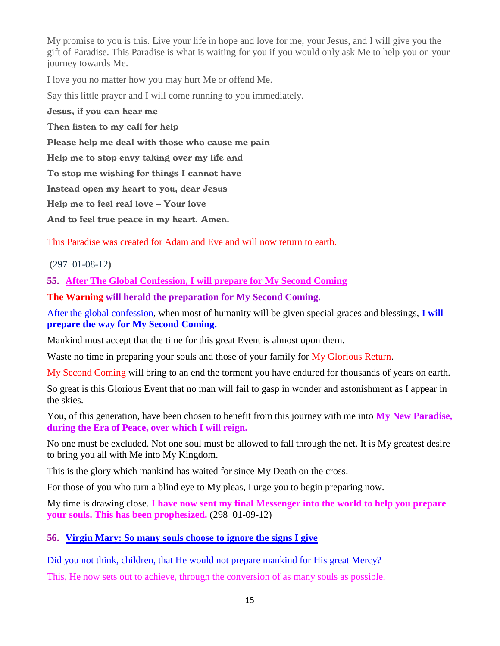My promise to you is this. Live your life in hope and love for me, your Jesus, and I will give you the gift of Paradise. This Paradise is what is waiting for you if you would only ask Me to help you on your journey towards Me.

I love you no matter how you may hurt Me or offend Me.

Say this little prayer and I will come running to you immediately.

Jesus, if you can hear me

Then listen to my call for help

Please help me deal with those who cause me pain

Help me to stop envy taking over my life and

To stop me wishing for things I cannot have

Instead open my heart to you, dear Jesus

Help me to feel real love – Your love

And to feel true peace in my heart. Amen.

This Paradise was created for Adam and Eve and will now return to earth.

**(**297 01-08-12**)**

**55. After The Global Confession, I will prepare for My Second Coming**

**The Warning will herald the preparation for My Second Coming.**

After the global confession, when most of humanity will be given special graces and blessings, **I will prepare the way for My Second Coming.**

Mankind must accept that the time for this great Event is almost upon them.

Waste no time in preparing your souls and those of your family for My Glorious Return.

My Second Coming will bring to an end the torment you have endured for thousands of years on earth.

So great is this Glorious Event that no man will fail to gasp in wonder and astonishment as I appear in the skies.

You, of this generation, have been chosen to benefit from this journey with me into **My New Paradise, during the Era of Peace, over which I will reign.**

No one must be excluded. Not one soul must be allowed to fall through the net. It is My greatest desire to bring you all with Me into My Kingdom.

This is the glory which mankind has waited for since My Death on the cross.

For those of you who turn a blind eye to My pleas, I urge you to begin preparing now.

My time is drawing close. **I have now sent my final Messenger into the world to help you prepare your souls. This has been prophesized.** (298 01-09-12)

#### **56. V[irgin Mary: So many souls choose to ignore the signs I give](http://www.thewarningsecondcoming.com/virgin-mary-so-many-souls-choose-to-ignore-the-signs-i-give/)**

Did you not think, children, that He would not prepare mankind for His great Mercy?

This, He now sets out to achieve, through the conversion of as many souls as possible.